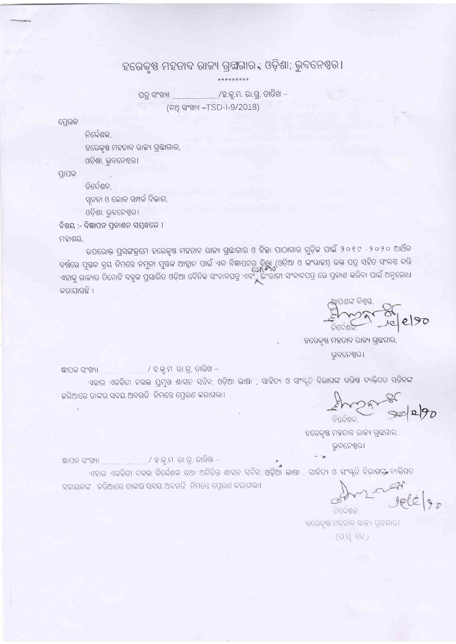ହରେକୃଷ ମହତାବ ରାଜ୍ୟ ଗ୍ରୁଗ୍ଚଗାର , ଓଡ଼ିଶା; ଭୁବନେଶ୍ୱର ।

\_\_/ହ.କୃ.ମ. ରା.ଗ୍ର, ତାରିଖ –

ପତ୍ର ସଂଖ୍ୟା (ନଥ ସଂଖ୍ୟା -TSD-I-9/2018)

ସେରକ

ନିର୍ଦ୍ଦେଶକ,

ହରେକୃଷ ମହତାବ ରାଜ୍ୟ ଗ୍ରଛାଗାର,

ଓଡ଼ିଶା, ଭୁବନେଶ୍ୱର।

ପ୍ରାପକ

ନିର୍ଦ୍ଦେଶକ,

ସ୍ୱଚନା ଓ ଲୋକ ସମ୍ପର୍କ ବିଭାଗ,

ଓଡ଼ିଶା, ଭୁବନେଶ୍ୱର।

ବିଷୟ :- ବିଜ୍ଞାପନ ପ୍ରକାଶନ ସମ୍ବନ୍ଧରେ ।

ମହାଶୟ,

ଉପରୋକ୍ତ ପ୍ରସଙ୍ଗକ୍ରମେ ହରେକୃଷ ମହତାବ ରାଜ୍ୟ ଗ୍ରଛାଗାର ଓ ଜିଲ୍ଲା ପାଠାଗାର ଗୁଡ଼ିକ ପାଇଁ ୨୦୧୯ -୨୦୨୦ ଆର୍ଥିକ ବର୍ଷରେ ପୁଷକ କ୍ରୟ ନିମନ୍ତେ ନମୁନା ପୁଷକ ଆହ୍ୱାନ ପାଇଁ ଏକ ବିଜ୍ଞାପନର ଚିୟୁ (ଓଡ଼ିଆ ଓ ଇଂରାଜୀ) ଉକ୍ତ ପତ୍ର ସହିତ ସଂଲଗ୍ନ କରି ଏହାକୁ ରାଜ୍ୟର ତିନୋଟି ବହୁଳ ପ୍ରସାରିତ ଓଡ଼ିଆ ଦୈନିକ ସଂବାଦପତ୍ର ଏବଂଁ ଇଂରାଜୀ ସଂବାଦପତ୍ର ରେ ପ୍ରକାଶ କରିବା ପାଇଁ ଅନୁରୋଧ କରାଯାଉଛି ।

Scribble organ 8 e190

ହରେକୃଷ ମହତାବ ରାଜ୍ୟ ଗ୍ରନ୍ଥଗାର, ଭୁବନେଶ୍ୱର ।

ହରେକୃଷ ମହତାବ ରାଜ୍ୟ ଗ୍ରଛଗାର, ଭୁବନେଶ୍ୱର।

ନିର୍ଦ୍ଦେଶକା ହରେକୃଷ୍ଣ ମହତାବ ରାଜ୍ୟ ଗ୍ରଛଗାର।  $(226)$ 

ଜ୍ଞାପକ ସଂଖ୍ୟା \_\_\_\_\_\_\_\_\_ / ହକୃ.ମ. ରା.ଗ୍ର, ତାରିଖ –

ଜ୍ଞାପକ ସଂଖ୍ୟା \_\_\_\_\_\_\_\_\_\_ / ହ.କୃ.ମ. ରା.ଗୁ. ତାରିଖ –

ସହାୟକଙ୍କ କରିଆରେ ତାଙ୍କର ସଦୟ ଅବଗତି ନିମନ୍ତେ ପ୍ରେରଣ କରାଗଲା।

ଏହାର ଏକକିତା ନକଲ ପ୍ରମୁଖ ଶାସନ ସଚିବ, ଓଡ଼ିଆ ଭାଷା , ସାହିତ୍ୟ ଓ ସଂସ୍କୃତି ବିଭାଗଙ୍କ ବରିଷ ବ୍ୟକ୍ତିଗତ ସ<mark>ଚିବଙ୍କ</mark> ଜରିଆରେ ତାଙ୍କର ସଦୟ ଅବଗତି ନିମନ୍ତେ ପ୍ରେରଣ କରାଗଲା।

ଏହାର ଏକକିତା ନକଲ ନିର୍ଦ୍ଦେଶକ ତଥା ଅତିରିକ୍ତ ଶାସନ ସଚିବ, ଓଡ଼ିଆ ଭାଷା , ସାହିତ୍ୟ ଓ ସଂସ୍କୃତି ବିଭାଗଙ୍କ ବ୍ୟକ୍ତିଗତ

 $272786$ 

ar<br>Jele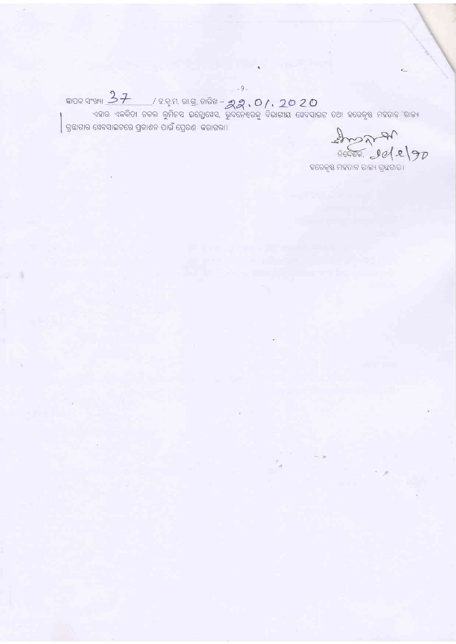$-9-$ ଜ୍ଞାପକ ସଂଖ୍ୟା  $37$ ଗ୍ରଛାଗାର ୱେବସାଇଟରେ ପ୍ରକାଶନ ପାଇଁ ପ୍ରେରଣ କରାଗଲା।

 $200720$ 

ହରେକୃଷ ମହତାବ ରାଜ୍ୟ ଗ୍ରଛରାର।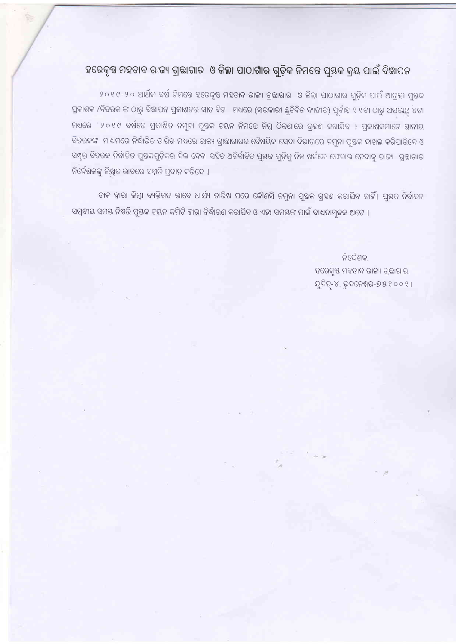## ହରେକୃଷ ମହତାବ ରାଜ୍ୟ ଗ୍ରଛାଗାର ଓ ଜିଲ୍ଲା ପାଠାଗାର ଗୁଡ଼ିକ ନିମନ୍ତେ ପୁତ୍ତକ କ୍ରୟ ପାଇଁ ବିଜ୍ଞାପନ

୨୦୧୯-୨୦ ଆର୍ଥିକ ବର୍ଷ ନିମନ୍ତେ ହରେକୃଷ ମହତାବ ରାଜ୍ୟ ଗ୍ରଛାଗାର ଓ ଜିଲ୍ଲା ପାଠାଗାର ଗୁଡ଼ିକ ପାଇଁ ଆଗ୍ରହୀ ପୁଷକ ପ୍ରକାଶକ /ବିତରକ ଙ୍କ ଠାରୁ ବିଜ୍ଞାପନ ପ୍ରକାଶନର ସାତ ଦିନ । ମଧ୍ୟରେ (ସରକାରୀ ଛୁଟିଦିନ ବ୍ୟତୀତ) ପୂର୍ବାହ୍ନ ୧ ୧ଟା ଠାରୁ ଅପରାହ୍ନ ୪ଟା ମଧ୍ୟରେ । ୨୦୧୯ ବର୍ଷରେ ପ୍ରକାଶିତ ନମୁନା ପୁଷକ ଚୟନ ନିମନ୍ତେ ନିମ୍ନ ଠିକଣାରେ ଗ୍ରହଣ କରାଯିବ । ପ୍ରକାଶକମାନେ ଛାନୀୟ ବିତରକଙ୍କ ମାଧ୍ୟମରେ ନିର୍ଦ୍ଧାରିତ ତାରିଖ ମଧ୍ୟରେ ରାଜ୍ୟ ଗ୍ରାଛାଗାରର ବୈଷୟିକ ସେବା ବିଭାଗରେ ନମୁନା ପୁତ୍ତକ ଦାଖଲ କରିପାରିବେ ଓ ସମ୍ପୃକ୍ତ ବିତରକ ନିର୍ବାଚିତ ପୁଷ୍ତକଗୁଡ଼ିକର ବିଲ ଦେବା ସହିତ ଅନିର୍ବାଚିତ ପୁଷକ ଗୁଡ଼ିକୁ ନିଜ ଖର୍ଚ୍ଚରେ ଫେରାଇ ନେବାକୁ ରାଜ୍ୟ ଗ୍ରନ୍ଥାଗାର ନିର୍ଦ୍ଦେଶକଙ୍କୁ ଲିଖିତ ଭାବରେ ସମ୍ମତି ପ୍ରଦାନ କରିବେ ।

ଡାକ ହାରା କିମ୍ବା ବ୍ୟକ୍ତିଗତ ଭାବେ ଧାର୍ଯ୍ୟ ତାରିଖ ପରେ କୌଣସି ନମୁନା ପୁତ୍ତକ ଗ୍ରହଣ କରାଯିବ ନାହିଁ। ପୁତ୍ତକ ନିର୍ବାଚନ ସମ୍ବନ୍ଧୀୟ ସମୟ ନିଷ୍ପତ୍ତି ପୁୟକ ଚୟନ କମିଟି ଦ୍ୱାରା ନିର୍ଦ୍ଧାରଣ କରାଯିବ ଓ ଏହା ସମୟଙ୍କ ପାଇଁ ବାଧ୍ୟତାମୂଳକ ଅଟେ ।

> ନିର୍ଦ୍ଦେଶକ, ହରେକୃଷ ମହତାବ ରାଜ୍ୟ ଗ୍ରହାଗାର, ୟୁନିଚ୍-୪, ଭୁବନେଶ୍ୱର-୭୫୧୦୦୧।